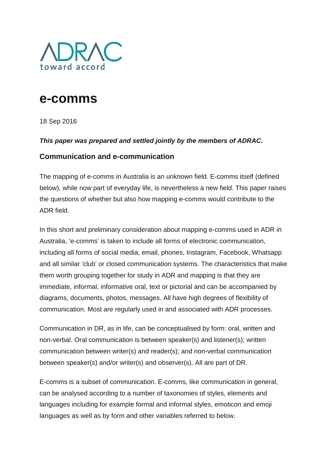

# **e-comms**

18 Sep 2016

#### *This paper was prepared and settled jointly by the members of ADRAC.*

#### **Communication and e-communication**

The mapping of e-comms in Australia is an unknown field. E-comms itself (defined below), while now part of everyday life, is nevertheless a new field. This paper raises the questions of whether but also how mapping e-comms would contribute to the ADR field.

In this short and preliminary consideration about mapping e-comms used in ADR in Australia, 'e-comms' is taken to include all forms of electronic communication, including all forms of social media, email, phones, Instagram, Facebook, Whatsapp and all similar 'club' or closed communication systems. The characteristics that make them worth grouping together for study in ADR and mapping is that they are immediate, informal, informative oral, text or pictorial and can be accompanied by diagrams, documents, photos, messages. All have high degrees of flexibility of communication. Most are regularly used in and associated with ADR processes.

Communication in DR, as in life, can be conceptualised by form: oral, written and non-verbal. Oral communication is between speaker(s) and listener(s); written communication between writer(s) and reader(s); and non-verbal communication between speaker(s) and/or writer(s) and observer(s). All are part of DR.

E-comms is a subset of communication. E-comms, like communication in general, can be analysed according to a number of taxonomies of styles, elements and languages including for example formal and informal styles, emoticon and emoji languages as well as by form and other variables referred to below.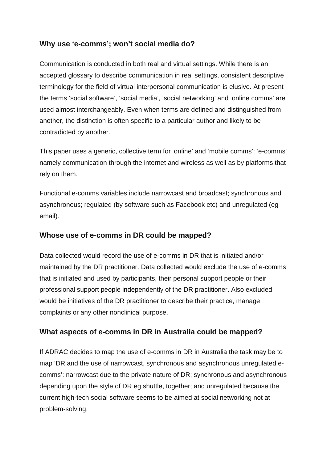### **Why use 'e-comms'; won't social media do?**

Communication is conducted in both real and virtual settings. While there is an accepted glossary to describe communication in real settings, consistent descriptive terminology for the field of virtual interpersonal communication is elusive. At present the terms 'social software', 'social media', 'social networking' and 'online comms' are used almost interchangeably. Even when terms are defined and distinguished from another, the distinction is often specific to a particular author and likely to be contradicted by another.

This paper uses a generic, collective term for 'online' and 'mobile comms': 'e-comms' namely communication through the internet and wireless as well as by platforms that rely on them.

Functional e-comms variables include narrowcast and broadcast; synchronous and asynchronous; regulated (by software such as Facebook etc) and unregulated (eg email).

#### **Whose use of e-comms in DR could be mapped?**

Data collected would record the use of e-comms in DR that is initiated and/or maintained by the DR practitioner. Data collected would exclude the use of e-comms that is initiated and used by participants, their personal support people or their professional support people independently of the DR practitioner. Also excluded would be initiatives of the DR practitioner to describe their practice, manage complaints or any other nonclinical purpose.

#### **What aspects of e-comms in DR in Australia could be mapped?**

If ADRAC decides to map the use of e-comms in DR in Australia the task may be to map 'DR and the use of narrowcast, synchronous and asynchronous unregulated ecomms': narrowcast due to the private nature of DR; synchronous and asynchronous depending upon the style of DR eg shuttle, together; and unregulated because the current high-tech social software seems to be aimed at social networking not at problem-solving.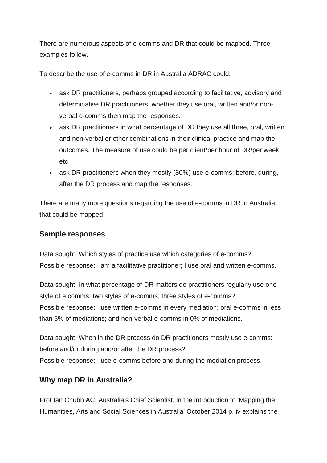There are numerous aspects of e-comms and DR that could be mapped. Three examples follow.

To describe the use of e-comms in DR in Australia ADRAC could:

- ask DR practitioners, perhaps grouped according to facilitative, advisory and determinative DR practitioners, whether they use oral, written and/or nonverbal e-comms then map the responses.
- ask DR practitioners in what percentage of DR they use all three, oral, written and non-verbal or other combinations in their clinical practice and map the outcomes. The measure of use could be per client/per hour of DR/per week etc.
- ask DR practitioners when they mostly (80%) use e-comms: before, during, after the DR process and map the responses.

There are many more questions regarding the use of e-comms in DR in Australia that could be mapped.

#### **Sample responses**

Data sought: Which styles of practice use which categories of e-comms? Possible response: I am a facilitative practitioner; I use oral and written e-comms.

Data sought: In what percentage of DR matters do practitioners regularly use one style of e comms; two styles of e-comms; three styles of e-comms? Possible response: I use written e-comms in every mediation; oral e-comms in less than 5% of mediations; and non-verbal e-comms in 0% of mediations.

Data sought: When in the DR process do DR practitioners mostly use e-comms: before and/or during and/or after the DR process? Possible response: I use e-comms before and during the mediation process.

#### **Why map DR in Australia?**

Prof Ian Chubb AC, Australia's Chief Scientist, in the introduction to 'Mapping the Humanities, Arts and Social Sciences in Australia' October 2014 p. iv explains the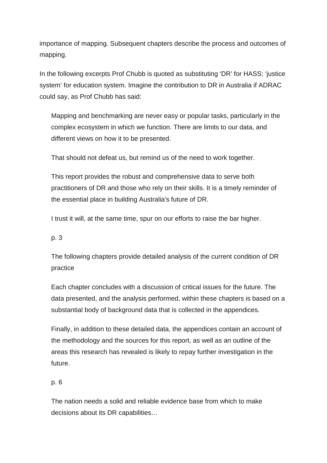importance of mapping. Subsequent chapters describe the process and outcomes of mapping.

In the following excerpts Prof Chubb is quoted as substituting 'DR' for HASS; 'justice system' for education system. Imagine the contribution to DR in Australia if ADRAC could say, as Prof Chubb has said:

Mapping and benchmarking are never easy or popular tasks, particularly in the complex ecosystem in which we function. There are limits to our data, and different views on how it to be presented.

That should not defeat us, but remind us of the need to work together.

This report provides the robust and comprehensive data to serve both practitioners of DR and those who rely on their skills. It is a timely reminder of the essential place in building Australia's future of DR.

I trust it will, at the same time, spur on our efforts to raise the bar higher.

p. 3

The following chapters provide detailed analysis of the current condition of DR practice

Each chapter concludes with a discussion of critical issues for the future. The data presented, and the analysis performed, within these chapters is based on a substantial body of background data that is collected in the appendices.

Finally, in addition to these detailed data, the appendices contain an account of the methodology and the sources for this report, as well as an outline of the areas this research has revealed is likely to repay further investigation in the future.

#### p. 6

The nation needs a solid and reliable evidence base from which to make decisions about its DR capabilities…